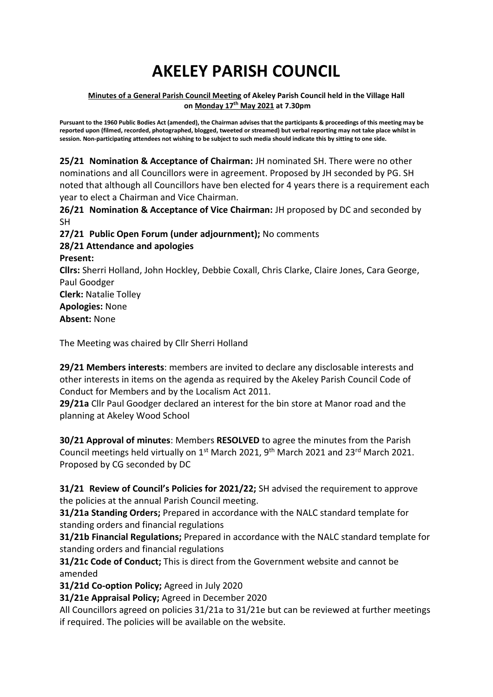# **AKELEY PARISH COUNCIL**

#### **Minutes of a General Parish Council Meeting of Akeley Parish Council held in the Village Hall on Monday 17 th May 2021 at 7.30pm**

**Pursuant to the 1960 Public Bodies Act (amended), the Chairman advises that the participants & proceedings of this meeting may be reported upon (filmed, recorded, photographed, blogged, tweeted or streamed) but verbal reporting may not take place whilst in session. Non-participating attendees not wishing to be subject to such media should indicate this by sitting to one side.**

**25/21 Nomination & Acceptance of Chairman:** JH nominated SH. There were no other nominations and all Councillors were in agreement. Proposed by JH seconded by PG. SH noted that although all Councillors have ben elected for 4 years there is a requirement each year to elect a Chairman and Vice Chairman.

**26/21 Nomination & Acceptance of Vice Chairman:** JH proposed by DC and seconded by SH

**27/21 Public Open Forum (under adjournment);** No comments

#### **28/21 Attendance and apologies Present:**

**Cllrs:** Sherri Holland, John Hockley, Debbie Coxall, Chris Clarke, Claire Jones, Cara George, Paul Goodger **Clerk:** Natalie Tolley

**Apologies:** None

**Absent:** None

The Meeting was chaired by Cllr Sherri Holland

**29/21 Members interests**: members are invited to declare any disclosable interests and other interests in items on the agenda as required by the Akeley Parish Council Code of Conduct for Members and by the Localism Act 2011.

**29/21a** Cllr Paul Goodger declared an interest for the bin store at Manor road and the planning at Akeley Wood School

**30/21 Approval of minutes**: Members **RESOLVED** to agree the minutes from the Parish Council meetings held virtually on  $1<sup>st</sup>$  March 2021, 9<sup>th</sup> March 2021 and 23<sup>rd</sup> March 2021. Proposed by CG seconded by DC

**31/21 Review of Council's Policies for 2021/22;** SH advised the requirement to approve the policies at the annual Parish Council meeting.

**31/21a Standing Orders;** Prepared in accordance with the NALC standard template for standing orders and financial regulations

**31/21b Financial Regulations;** Prepared in accordance with the NALC standard template for standing orders and financial regulations

**31/21c Code of Conduct;** This is direct from the Government website and cannot be amended

**31/21d Co-option Policy;** Agreed in July 2020

**31/21e Appraisal Policy;** Agreed in December 2020

All Councillors agreed on policies 31/21a to 31/21e but can be reviewed at further meetings if required. The policies will be available on the website.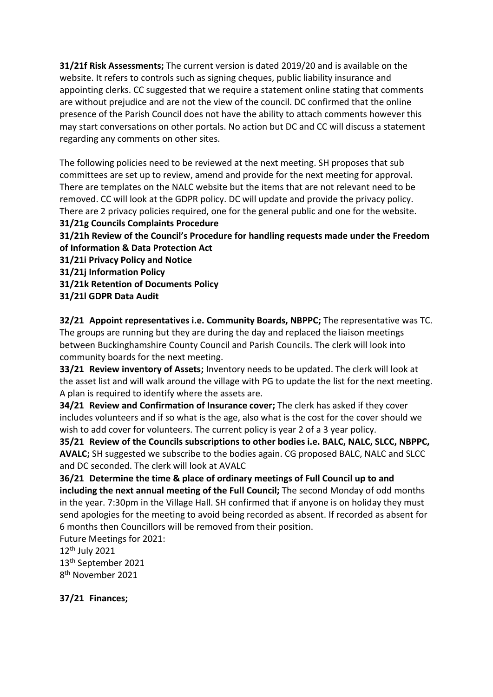**31/21f Risk Assessments;** The current version is dated 2019/20 and is available on the website. It refers to controls such as signing cheques, public liability insurance and appointing clerks. CC suggested that we require a statement online stating that comments are without prejudice and are not the view of the council. DC confirmed that the online presence of the Parish Council does not have the ability to attach comments however this may start conversations on other portals. No action but DC and CC will discuss a statement regarding any comments on other sites.

The following policies need to be reviewed at the next meeting. SH proposes that sub committees are set up to review, amend and provide for the next meeting for approval. There are templates on the NALC website but the items that are not relevant need to be removed. CC will look at the GDPR policy. DC will update and provide the privacy policy. There are 2 privacy policies required, one for the general public and one for the website.

**31/21g Councils Complaints Procedure**

**31/21h Review of the Council's Procedure for handling requests made under the Freedom of Information & Data Protection Act**

**31/21i Privacy Policy and Notice**

**31/21j Information Policy**

**31/21k Retention of Documents Policy**

**31/21l GDPR Data Audit**

**32/21 Appoint representatives i.e. Community Boards, NBPPC;** The representative was TC. The groups are running but they are during the day and replaced the liaison meetings between Buckinghamshire County Council and Parish Councils. The clerk will look into community boards for the next meeting.

**33/21 Review inventory of Assets;** Inventory needs to be updated. The clerk will look at the asset list and will walk around the village with PG to update the list for the next meeting. A plan is required to identify where the assets are.

**34/21 Review and Confirmation of Insurance cover;** The clerk has asked if they cover includes volunteers and if so what is the age, also what is the cost for the cover should we wish to add cover for volunteers. The current policy is year 2 of a 3 year policy.

**35/21 Review of the Councils subscriptions to other bodies i.e. BALC, NALC, SLCC, NBPPC, AVALC;** SH suggested we subscribe to the bodies again. CG proposed BALC, NALC and SLCC and DC seconded. The clerk will look at AVALC

**36/21 Determine the time & place of ordinary meetings of Full Council up to and including the next annual meeting of the Full Council;** The second Monday of odd months in the year. 7:30pm in the Village Hall. SH confirmed that if anyone is on holiday they must send apologies for the meeting to avoid being recorded as absent. If recorded as absent for 6 months then Councillors will be removed from their position.

Future Meetings for 2021:

 $12<sup>th</sup>$  July 2021

13th September 2021 8 th November 2021

**37/21 Finances;**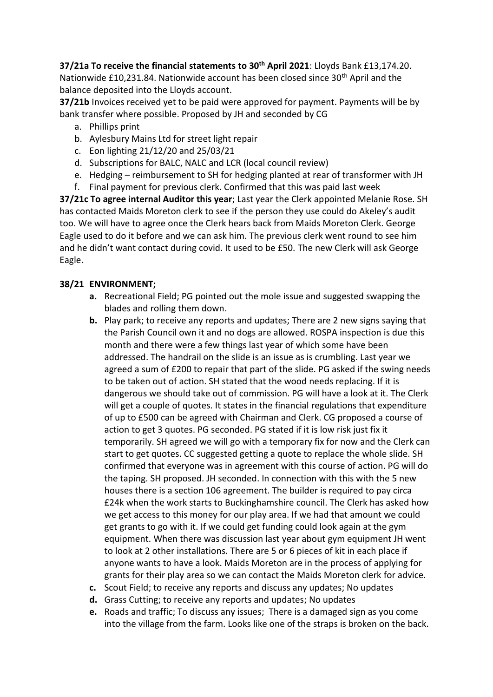**37/21a To receive the financial statements to 30th April 2021**: Lloyds Bank £13,174.20. Nationwide £10,231.84. Nationwide account has been closed since 30<sup>th</sup> April and the balance deposited into the Lloyds account.

**37/21b** Invoices received yet to be paid were approved for payment. Payments will be by bank transfer where possible. Proposed by JH and seconded by CG

- a. Phillips print
- b. Aylesbury Mains Ltd for street light repair
- c. Eon lighting 21/12/20 and 25/03/21
- d. Subscriptions for BALC, NALC and LCR (local council review)
- e. Hedging reimbursement to SH for hedging planted at rear of transformer with JH
- f. Final payment for previous clerk. Confirmed that this was paid last week

**37/21c To agree internal Auditor this year**; Last year the Clerk appointed Melanie Rose. SH has contacted Maids Moreton clerk to see if the person they use could do Akeley's audit too. We will have to agree once the Clerk hears back from Maids Moreton Clerk. George Eagle used to do it before and we can ask him. The previous clerk went round to see him and he didn't want contact during covid. It used to be £50. The new Clerk will ask George Eagle.

# **38/21 ENVIRONMENT;**

- **a.** Recreational Field; PG pointed out the mole issue and suggested swapping the blades and rolling them down.
- **b.** Play park; to receive any reports and updates; There are 2 new signs saying that the Parish Council own it and no dogs are allowed. ROSPA inspection is due this month and there were a few things last year of which some have been addressed. The handrail on the slide is an issue as is crumbling. Last year we agreed a sum of £200 to repair that part of the slide. PG asked if the swing needs to be taken out of action. SH stated that the wood needs replacing. If it is dangerous we should take out of commission. PG will have a look at it. The Clerk will get a couple of quotes. It states in the financial regulations that expenditure of up to £500 can be agreed with Chairman and Clerk. CG proposed a course of action to get 3 quotes. PG seconded. PG stated if it is low risk just fix it temporarily. SH agreed we will go with a temporary fix for now and the Clerk can start to get quotes. CC suggested getting a quote to replace the whole slide. SH confirmed that everyone was in agreement with this course of action. PG will do the taping. SH proposed. JH seconded. In connection with this with the 5 new houses there is a section 106 agreement. The builder is required to pay circa £24k when the work starts to Buckinghamshire council. The Clerk has asked how we get access to this money for our play area. If we had that amount we could get grants to go with it. If we could get funding could look again at the gym equipment. When there was discussion last year about gym equipment JH went to look at 2 other installations. There are 5 or 6 pieces of kit in each place if anyone wants to have a look. Maids Moreton are in the process of applying for grants for their play area so we can contact the Maids Moreton clerk for advice.
- **c.** Scout Field; to receive any reports and discuss any updates; No updates
- **d.** Grass Cutting; to receive any reports and updates; No updates
- **e.** Roads and traffic; To discuss any issues; There is a damaged sign as you come into the village from the farm. Looks like one of the straps is broken on the back.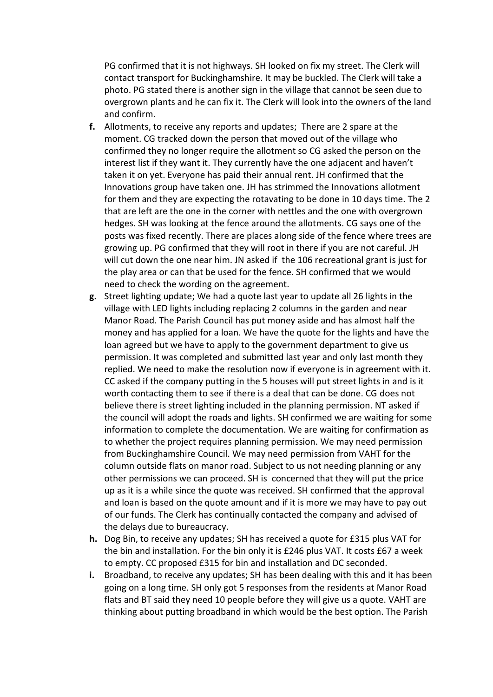PG confirmed that it is not highways. SH looked on fix my street. The Clerk will contact transport for Buckinghamshire. It may be buckled. The Clerk will take a photo. PG stated there is another sign in the village that cannot be seen due to overgrown plants and he can fix it. The Clerk will look into the owners of the land and confirm.

- **f.** Allotments, to receive any reports and updates; There are 2 spare at the moment. CG tracked down the person that moved out of the village who confirmed they no longer require the allotment so CG asked the person on the interest list if they want it. They currently have the one adjacent and haven't taken it on yet. Everyone has paid their annual rent. JH confirmed that the Innovations group have taken one. JH has strimmed the Innovations allotment for them and they are expecting the rotavating to be done in 10 days time. The 2 that are left are the one in the corner with nettles and the one with overgrown hedges. SH was looking at the fence around the allotments. CG says one of the posts was fixed recently. There are places along side of the fence where trees are growing up. PG confirmed that they will root in there if you are not careful. JH will cut down the one near him. JN asked if the 106 recreational grant is just for the play area or can that be used for the fence. SH confirmed that we would need to check the wording on the agreement.
- **g.** Street lighting update; We had a quote last year to update all 26 lights in the village with LED lights including replacing 2 columns in the garden and near Manor Road. The Parish Council has put money aside and has almost half the money and has applied for a loan. We have the quote for the lights and have the loan agreed but we have to apply to the government department to give us permission. It was completed and submitted last year and only last month they replied. We need to make the resolution now if everyone is in agreement with it. CC asked if the company putting in the 5 houses will put street lights in and is it worth contacting them to see if there is a deal that can be done. CG does not believe there is street lighting included in the planning permission. NT asked if the council will adopt the roads and lights. SH confirmed we are waiting for some information to complete the documentation. We are waiting for confirmation as to whether the project requires planning permission. We may need permission from Buckinghamshire Council. We may need permission from VAHT for the column outside flats on manor road. Subject to us not needing planning or any other permissions we can proceed. SH is concerned that they will put the price up as it is a while since the quote was received. SH confirmed that the approval and loan is based on the quote amount and if it is more we may have to pay out of our funds. The Clerk has continually contacted the company and advised of the delays due to bureaucracy.
- **h.** Dog Bin, to receive any updates; SH has received a quote for £315 plus VAT for the bin and installation. For the bin only it is £246 plus VAT. It costs £67 a week to empty. CC proposed £315 for bin and installation and DC seconded.
- **i.** Broadband, to receive any updates; SH has been dealing with this and it has been going on a long time. SH only got 5 responses from the residents at Manor Road flats and BT said they need 10 people before they will give us a quote. VAHT are thinking about putting broadband in which would be the best option. The Parish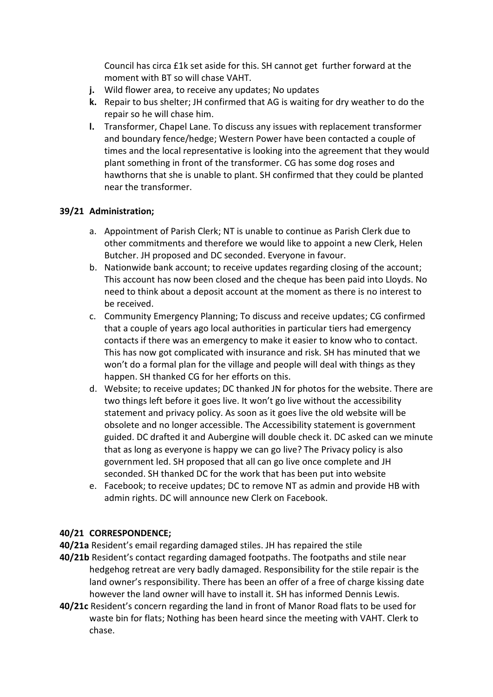Council has circa £1k set aside for this. SH cannot get further forward at the moment with BT so will chase VAHT.

- **j.** Wild flower area, to receive any updates; No updates
- **k.** Repair to bus shelter; JH confirmed that AG is waiting for dry weather to do the repair so he will chase him.
- **l.** Transformer, Chapel Lane. To discuss any issues with replacement transformer and boundary fence/hedge; Western Power have been contacted a couple of times and the local representative is looking into the agreement that they would plant something in front of the transformer. CG has some dog roses and hawthorns that she is unable to plant. SH confirmed that they could be planted near the transformer.

# **39/21 Administration;**

- a. Appointment of Parish Clerk; NT is unable to continue as Parish Clerk due to other commitments and therefore we would like to appoint a new Clerk, Helen Butcher. JH proposed and DC seconded. Everyone in favour.
- b. Nationwide bank account; to receive updates regarding closing of the account; This account has now been closed and the cheque has been paid into Lloyds. No need to think about a deposit account at the moment as there is no interest to be received.
- c. Community Emergency Planning; To discuss and receive updates; CG confirmed that a couple of years ago local authorities in particular tiers had emergency contacts if there was an emergency to make it easier to know who to contact. This has now got complicated with insurance and risk. SH has minuted that we won't do a formal plan for the village and people will deal with things as they happen. SH thanked CG for her efforts on this.
- d. Website; to receive updates; DC thanked JN for photos for the website. There are two things left before it goes live. It won't go live without the accessibility statement and privacy policy. As soon as it goes live the old website will be obsolete and no longer accessible. The Accessibility statement is government guided. DC drafted it and Aubergine will double check it. DC asked can we minute that as long as everyone is happy we can go live? The Privacy policy is also government led. SH proposed that all can go live once complete and JH seconded. SH thanked DC for the work that has been put into website
- e. Facebook; to receive updates; DC to remove NT as admin and provide HB with admin rights. DC will announce new Clerk on Facebook.

# **40/21 CORRESPONDENCE;**

**40/21a** Resident's email regarding damaged stiles. JH has repaired the stile

- **40/21b** Resident's contact regarding damaged footpaths. The footpaths and stile near hedgehog retreat are very badly damaged. Responsibility for the stile repair is the land owner's responsibility. There has been an offer of a free of charge kissing date however the land owner will have to install it. SH has informed Dennis Lewis.
- **40/21c** Resident's concern regarding the land in front of Manor Road flats to be used for waste bin for flats; Nothing has been heard since the meeting with VAHT. Clerk to chase.